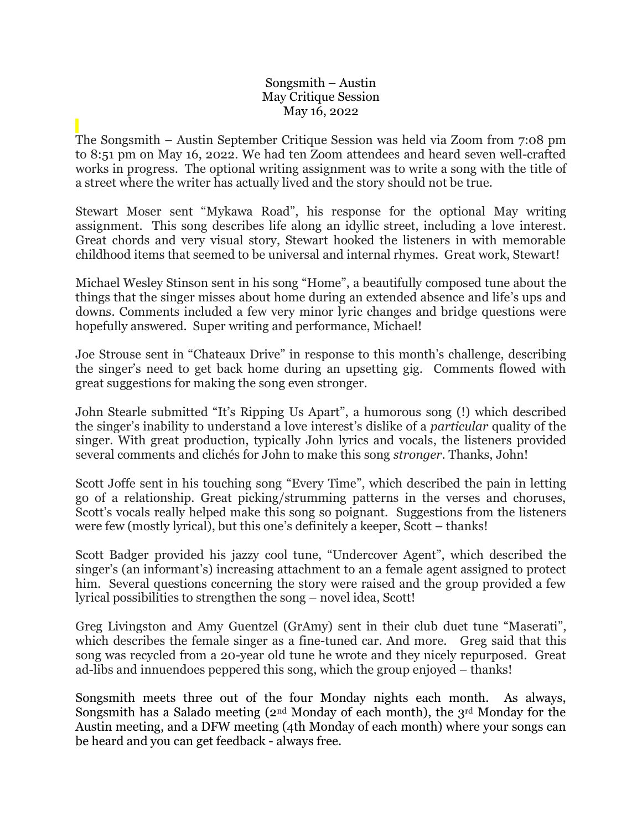## Songsmith – Austin May Critique Session May 16, 2022

The Songsmith – Austin September Critique Session was held via Zoom from 7:08 pm to 8:51 pm on May 16, 2022. We had ten Zoom attendees and heard seven well-crafted works in progress. The optional writing assignment was to write a song with the title of a street where the writer has actually lived and the story should not be true.

Stewart Moser sent "Mykawa Road", his response for the optional May writing assignment. This song describes life along an idyllic street, including a love interest. Great chords and very visual story, Stewart hooked the listeners in with memorable childhood items that seemed to be universal and internal rhymes. Great work, Stewart!

Michael Wesley Stinson sent in his song "Home", a beautifully composed tune about the things that the singer misses about home during an extended absence and life's ups and downs. Comments included a few very minor lyric changes and bridge questions were hopefully answered. Super writing and performance, Michael!

Joe Strouse sent in "Chateaux Drive" in response to this month's challenge, describing the singer's need to get back home during an upsetting gig. Comments flowed with great suggestions for making the song even stronger.

John Stearle submitted "It's Ripping Us Apart", a humorous song (!) which described the singer's inability to understand a love interest's dislike of a *particular* quality of the singer. With great production, typically John lyrics and vocals, the listeners provided several comments and clichés for John to make this song *stronger*. Thanks, John!

Scott Joffe sent in his touching song "Every Time", which described the pain in letting go of a relationship. Great picking/strumming patterns in the verses and choruses, Scott's vocals really helped make this song so poignant. Suggestions from the listeners were few (mostly lyrical), but this one's definitely a keeper, Scott – thanks!

Scott Badger provided his jazzy cool tune, "Undercover Agent", which described the singer's (an informant's) increasing attachment to an a female agent assigned to protect him. Several questions concerning the story were raised and the group provided a few lyrical possibilities to strengthen the song – novel idea, Scott!

Greg Livingston and Amy Guentzel (GrAmy) sent in their club duet tune "Maserati", which describes the female singer as a fine-tuned car. And more. Greg said that this song was recycled from a 20-year old tune he wrote and they nicely repurposed. Great ad-libs and innuendoes peppered this song, which the group enjoyed – thanks!

Songsmith meets three out of the four Monday nights each month. As always, Songsmith has a Salado meeting  $(2<sup>nd</sup> Monday of each month)$ , the 3<sup>rd</sup> Monday for the Austin meeting, and a DFW meeting (4th Monday of each month) where your songs can be heard and you can get feedback - always free.